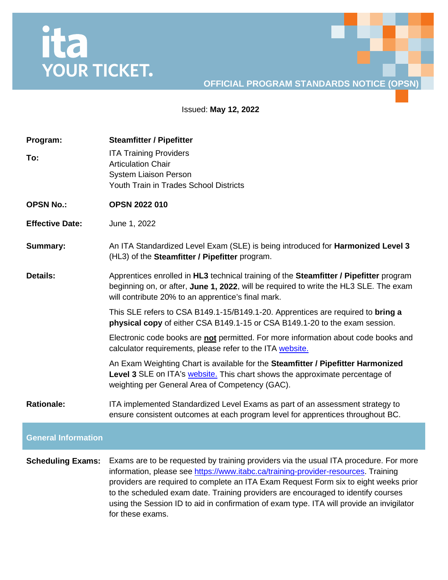## ita<br>YOUR TICKET.

## **OFFICIAL PROGRAM STANDARDS NOTICE (OPSN)**

Issued: **May 12, 2022**

| Program:                   | <b>Steamfitter / Pipefitter</b>                                                                                                                                                                                                                                                                                                                          |
|----------------------------|----------------------------------------------------------------------------------------------------------------------------------------------------------------------------------------------------------------------------------------------------------------------------------------------------------------------------------------------------------|
| To:                        | <b>ITA Training Providers</b><br><b>Articulation Chair</b><br><b>System Liaison Person</b><br>Youth Train in Trades School Districts                                                                                                                                                                                                                     |
|                            |                                                                                                                                                                                                                                                                                                                                                          |
| <b>OPSN No.:</b>           | <b>OPSN 2022 010</b>                                                                                                                                                                                                                                                                                                                                     |
| <b>Effective Date:</b>     | June 1, 2022                                                                                                                                                                                                                                                                                                                                             |
| <b>Summary:</b>            | An ITA Standardized Level Exam (SLE) is being introduced for <b>Harmonized Level 3</b><br>(HL3) of the Steamfitter / Pipefitter program.                                                                                                                                                                                                                 |
| <b>Details:</b>            | Apprentices enrolled in HL3 technical training of the Steamfitter / Pipefitter program<br>beginning on, or after, June 1, 2022, will be required to write the HL3 SLE. The exam<br>will contribute 20% to an apprentice's final mark.                                                                                                                    |
|                            | This SLE refers to CSA B149.1-15/B149.1-20. Apprentices are required to bring a<br>physical copy of either CSA B149.1-15 or CSA B149.1-20 to the exam session.                                                                                                                                                                                           |
|                            | Electronic code books are not permitted. For more information about code books and<br>calculator requirements, please refer to the ITA website.                                                                                                                                                                                                          |
|                            | An Exam Weighting Chart is available for the Steamfitter / Pipefitter Harmonized<br>Level 3 SLE on ITA's website. This chart shows the approximate percentage of<br>weighting per General Area of Competency (GAC).                                                                                                                                      |
| <b>Rationale:</b>          | ITA implemented Standardized Level Exams as part of an assessment strategy to<br>ensure consistent outcomes at each program level for apprentices throughout BC.                                                                                                                                                                                         |
| <b>General Information</b> |                                                                                                                                                                                                                                                                                                                                                          |
| <b>Scheduling Exams:</b>   | Exams are to be requested by training providers via the usual ITA procedure. For more<br>information, please see https://www.itabc.ca/training-provider-resources. Training<br>providers are required to complete an ITA Exam Request Form six to eight weeks prior<br>to the scheduled exam date. Training providers are encouraged to identify courses |

for these exams.

using the Session ID to aid in confirmation of exam type. ITA will provide an invigilator